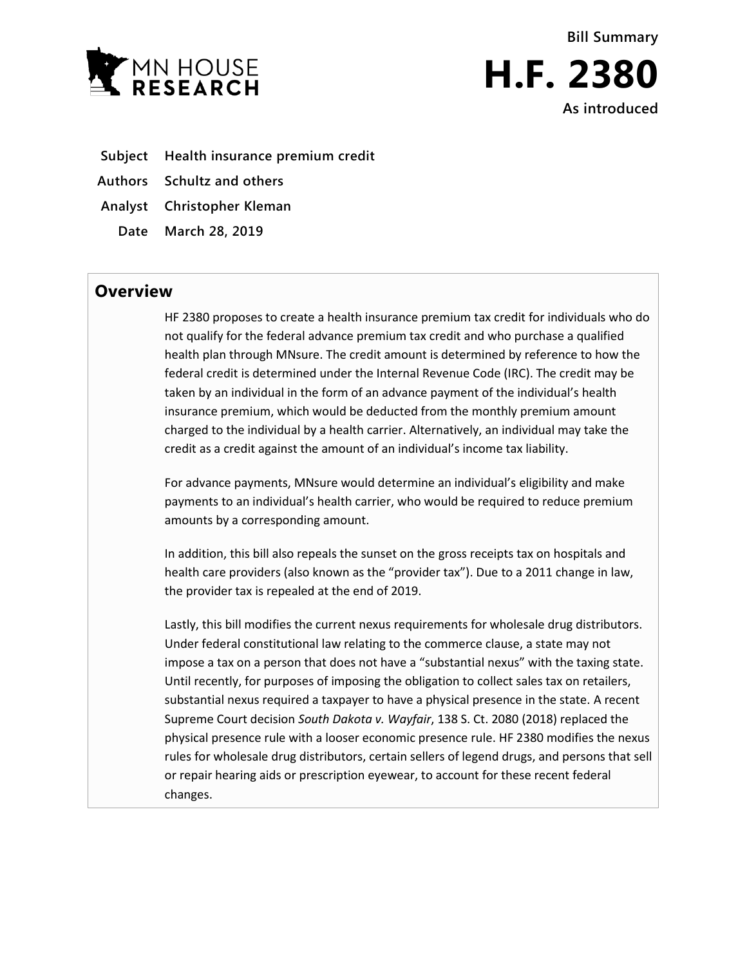



- **Subject Health insurance premium credit**
- **Authors Schultz and others**
- **Analyst Christopher Kleman**
- **Date March 28, 2019**

## **Overview**

HF 2380 proposes to create a health insurance premium tax credit for individuals who do not qualify for the federal advance premium tax credit and who purchase a qualified health plan through MNsure. The credit amount is determined by reference to how the federal credit is determined under the Internal Revenue Code (IRC). The credit may be taken by an individual in the form of an advance payment of the individual's health insurance premium, which would be deducted from the monthly premium amount charged to the individual by a health carrier. Alternatively, an individual may take the credit as a credit against the amount of an individual's income tax liability.

For advance payments, MNsure would determine an individual's eligibility and make payments to an individual's health carrier, who would be required to reduce premium amounts by a corresponding amount.

In addition, this bill also repeals the sunset on the gross receipts tax on hospitals and health care providers (also known as the "provider tax"). Due to a 2011 change in law, the provider tax is repealed at the end of 2019.

Lastly, this bill modifies the current nexus requirements for wholesale drug distributors. Under federal constitutional law relating to the commerce clause, a state may not impose a tax on a person that does not have a "substantial nexus" with the taxing state. Until recently, for purposes of imposing the obligation to collect sales tax on retailers, substantial nexus required a taxpayer to have a physical presence in the state. A recent Supreme Court decision *South Dakota v. Wayfair*, 138 S. Ct. 2080 (2018) replaced the physical presence rule with a looser economic presence rule. HF 2380 modifies the nexus rules for wholesale drug distributors, certain sellers of legend drugs, and persons that sell or repair hearing aids or prescription eyewear, to account for these recent federal changes.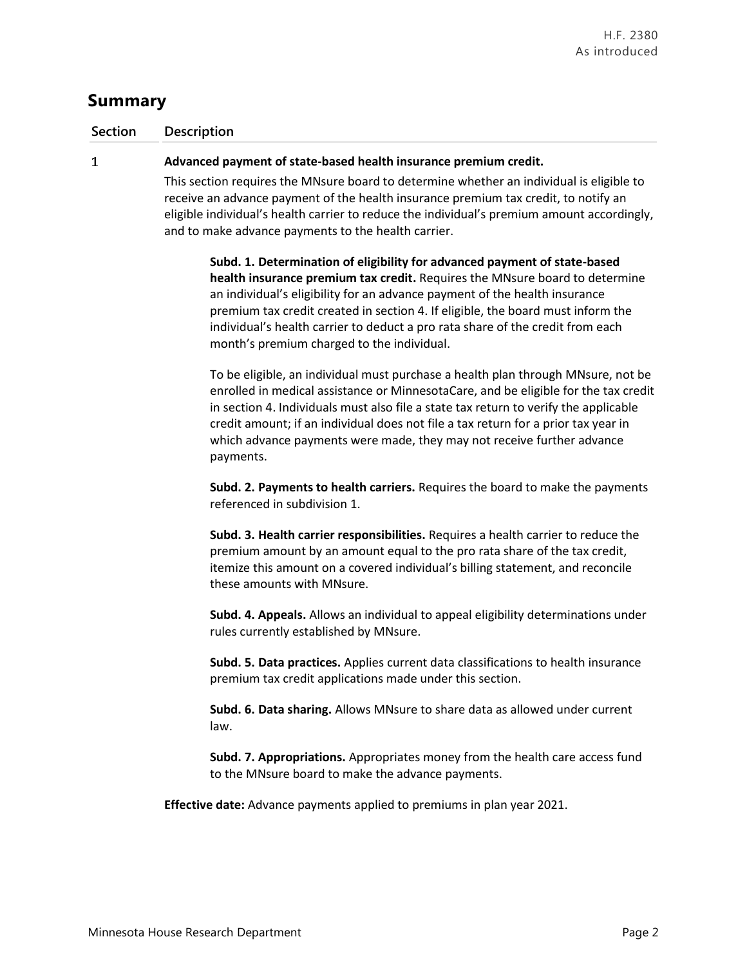# **Summary**

### **Section Description**

#### $\mathbf{1}$ **Advanced payment of state-based health insurance premium credit.**

This section requires the MNsure board to determine whether an individual is eligible to receive an advance payment of the health insurance premium tax credit, to notify an eligible individual's health carrier to reduce the individual's premium amount accordingly, and to make advance payments to the health carrier.

**Subd. 1. Determination of eligibility for advanced payment of state-based health insurance premium tax credit.** Requires the MNsure board to determine an individual's eligibility for an advance payment of the health insurance premium tax credit created in section 4. If eligible, the board must inform the individual's health carrier to deduct a pro rata share of the credit from each month's premium charged to the individual.

To be eligible, an individual must purchase a health plan through MNsure, not be enrolled in medical assistance or MinnesotaCare, and be eligible for the tax credit in section 4. Individuals must also file a state tax return to verify the applicable credit amount; if an individual does not file a tax return for a prior tax year in which advance payments were made, they may not receive further advance payments.

**Subd. 2. Payments to health carriers.** Requires the board to make the payments referenced in subdivision 1.

**Subd. 3. Health carrier responsibilities.** Requires a health carrier to reduce the premium amount by an amount equal to the pro rata share of the tax credit, itemize this amount on a covered individual's billing statement, and reconcile these amounts with MNsure.

**Subd. 4. Appeals.** Allows an individual to appeal eligibility determinations under rules currently established by MNsure.

**Subd. 5. Data practices.** Applies current data classifications to health insurance premium tax credit applications made under this section.

**Subd. 6. Data sharing.** Allows MNsure to share data as allowed under current law.

**Subd. 7. Appropriations.** Appropriates money from the health care access fund to the MNsure board to make the advance payments.

**Effective date:** Advance payments applied to premiums in plan year 2021.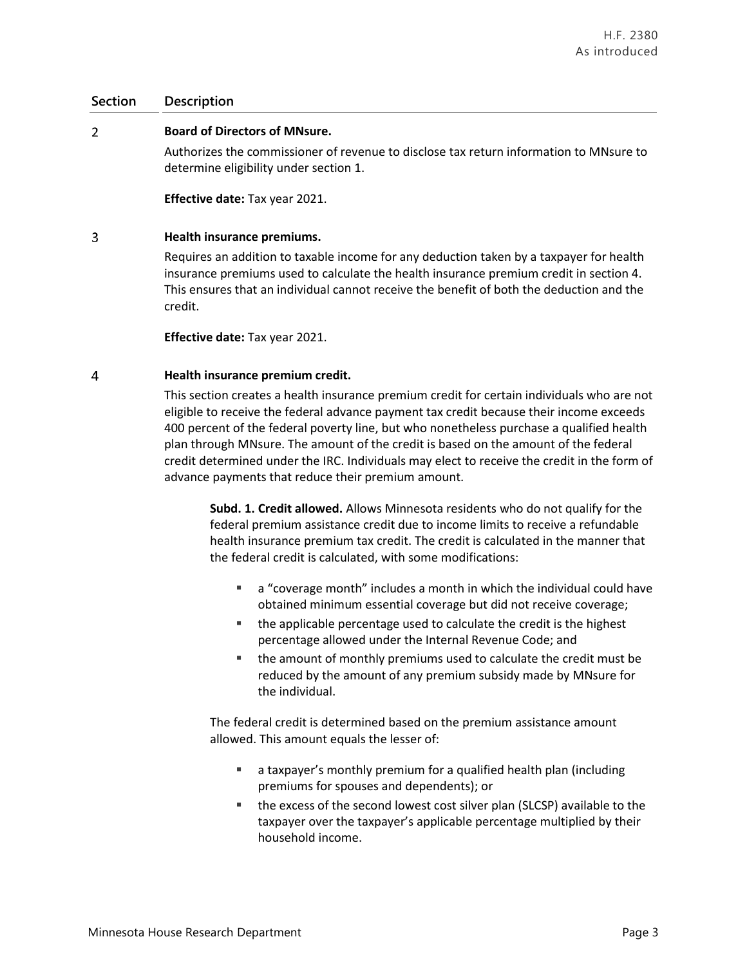#### $\overline{2}$ **Board of Directors of MNsure.**

Authorizes the commissioner of revenue to disclose tax return information to MNsure to determine eligibility under section 1.

**Effective date:** Tax year 2021.

### $\overline{3}$ **Health insurance premiums.**

Requires an addition to taxable income for any deduction taken by a taxpayer for health insurance premiums used to calculate the health insurance premium credit in section 4. This ensures that an individual cannot receive the benefit of both the deduction and the credit.

**Effective date:** Tax year 2021.

### $\overline{4}$ **Health insurance premium credit.**

This section creates a health insurance premium credit for certain individuals who are not eligible to receive the federal advance payment tax credit because their income exceeds 400 percent of the federal poverty line, but who nonetheless purchase a qualified health plan through MNsure. The amount of the credit is based on the amount of the federal credit determined under the IRC. Individuals may elect to receive the credit in the form of advance payments that reduce their premium amount.

**Subd. 1. Credit allowed.** Allows Minnesota residents who do not qualify for the federal premium assistance credit due to income limits to receive a refundable health insurance premium tax credit. The credit is calculated in the manner that the federal credit is calculated, with some modifications:

- a "coverage month" includes a month in which the individual could have obtained minimum essential coverage but did not receive coverage;
- the applicable percentage used to calculate the credit is the highest percentage allowed under the Internal Revenue Code; and
- the amount of monthly premiums used to calculate the credit must be reduced by the amount of any premium subsidy made by MNsure for the individual.

The federal credit is determined based on the premium assistance amount allowed. This amount equals the lesser of:

- a taxpayer's monthly premium for a qualified health plan (including premiums for spouses and dependents); or
- the excess of the second lowest cost silver plan (SLCSP) available to the taxpayer over the taxpayer's applicable percentage multiplied by their household income.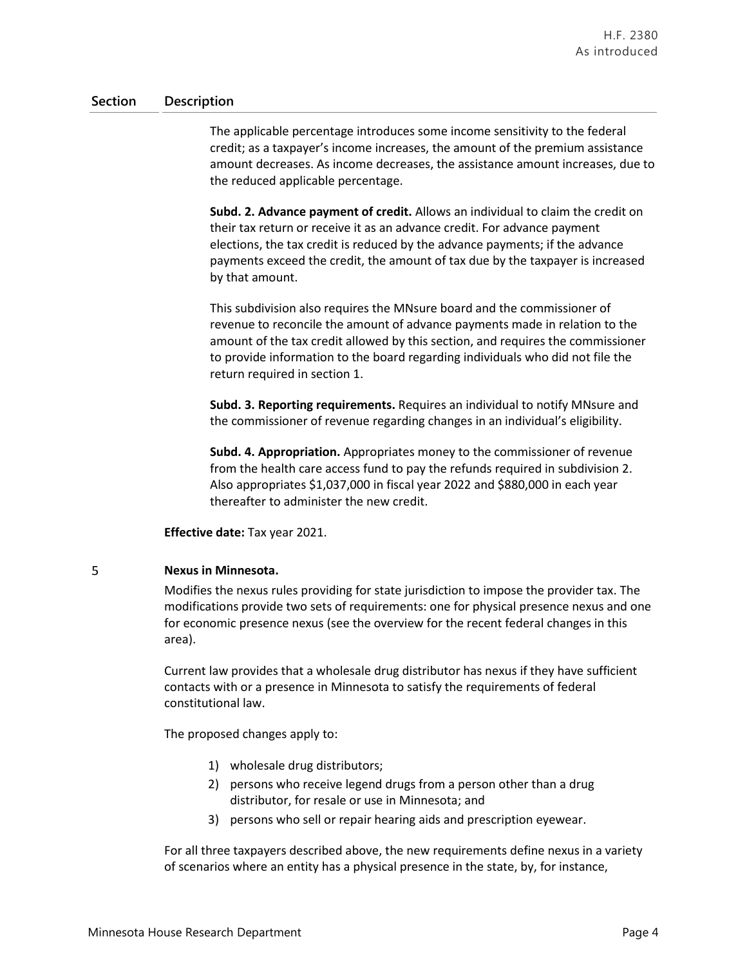The applicable percentage introduces some income sensitivity to the federal credit; as a taxpayer's income increases, the amount of the premium assistance amount decreases. As income decreases, the assistance amount increases, due to the reduced applicable percentage.

**Subd. 2. Advance payment of credit.** Allows an individual to claim the credit on their tax return or receive it as an advance credit. For advance payment elections, the tax credit is reduced by the advance payments; if the advance payments exceed the credit, the amount of tax due by the taxpayer is increased by that amount.

This subdivision also requires the MNsure board and the commissioner of revenue to reconcile the amount of advance payments made in relation to the amount of the tax credit allowed by this section, and requires the commissioner to provide information to the board regarding individuals who did not file the return required in section 1.

**Subd. 3. Reporting requirements.** Requires an individual to notify MNsure and the commissioner of revenue regarding changes in an individual's eligibility.

**Subd. 4. Appropriation.** Appropriates money to the commissioner of revenue from the health care access fund to pay the refunds required in subdivision 2. Also appropriates \$1,037,000 in fiscal year 2022 and \$880,000 in each year thereafter to administer the new credit.

**Effective date:** Tax year 2021.

### 5 **Nexus in Minnesota.**

Modifies the nexus rules providing for state jurisdiction to impose the provider tax. The modifications provide two sets of requirements: one for physical presence nexus and one for economic presence nexus (see the overview for the recent federal changes in this area).

Current law provides that a wholesale drug distributor has nexus if they have sufficient contacts with or a presence in Minnesota to satisfy the requirements of federal constitutional law.

The proposed changes apply to:

- 1) wholesale drug distributors;
- 2) persons who receive legend drugs from a person other than a drug distributor, for resale or use in Minnesota; and
- 3) persons who sell or repair hearing aids and prescription eyewear.

For all three taxpayers described above, the new requirements define nexus in a variety of scenarios where an entity has a physical presence in the state, by, for instance,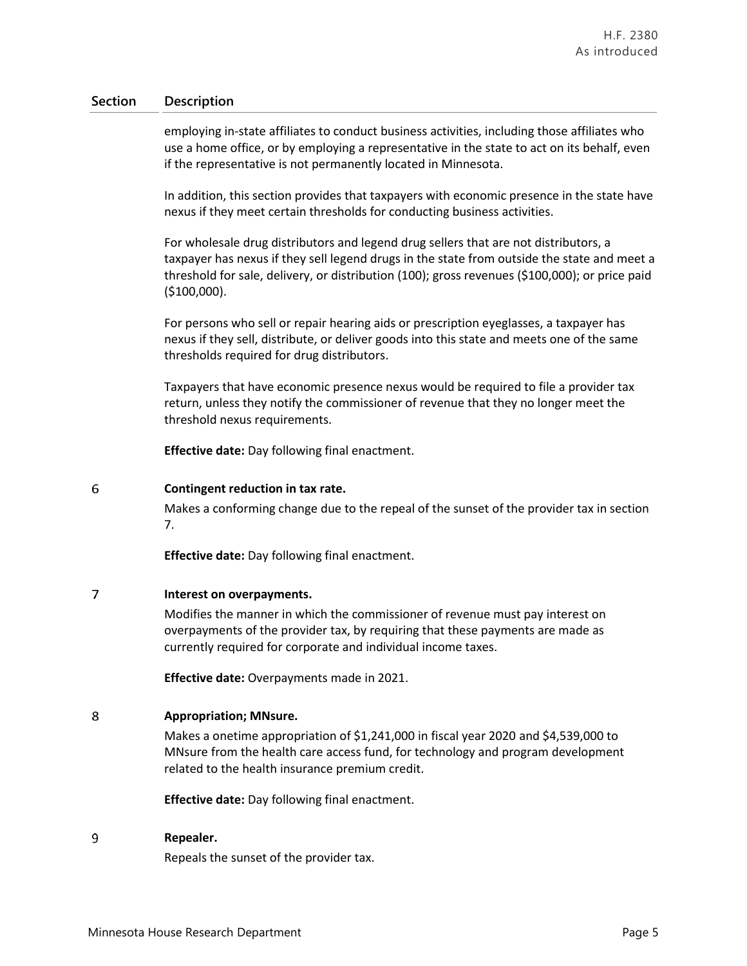employing in-state affiliates to conduct business activities, including those affiliates who use a home office, or by employing a representative in the state to act on its behalf, even if the representative is not permanently located in Minnesota.

In addition, this section provides that taxpayers with economic presence in the state have nexus if they meet certain thresholds for conducting business activities.

For wholesale drug distributors and legend drug sellers that are not distributors, a taxpayer has nexus if they sell legend drugs in the state from outside the state and meet a threshold for sale, delivery, or distribution (100); gross revenues (\$100,000); or price paid (\$100,000).

For persons who sell or repair hearing aids or prescription eyeglasses, a taxpayer has nexus if they sell, distribute, or deliver goods into this state and meets one of the same thresholds required for drug distributors.

Taxpayers that have economic presence nexus would be required to file a provider tax return, unless they notify the commissioner of revenue that they no longer meet the threshold nexus requirements.

**Effective date:** Day following final enactment.

#### 6 **Contingent reduction in tax rate.**

Makes a conforming change due to the repeal of the sunset of the provider tax in section 7.

**Effective date:** Day following final enactment.

### $\overline{7}$ **Interest on overpayments.**

Modifies the manner in which the commissioner of revenue must pay interest on overpayments of the provider tax, by requiring that these payments are made as currently required for corporate and individual income taxes.

**Effective date:** Overpayments made in 2021.

### 8 **Appropriation; MNsure.**

Makes a onetime appropriation of \$1,241,000 in fiscal year 2020 and \$4,539,000 to MNsure from the health care access fund, for technology and program development related to the health insurance premium credit.

**Effective date:** Day following final enactment.

#### $\overline{9}$ **Repealer.**

Repeals the sunset of the provider tax.